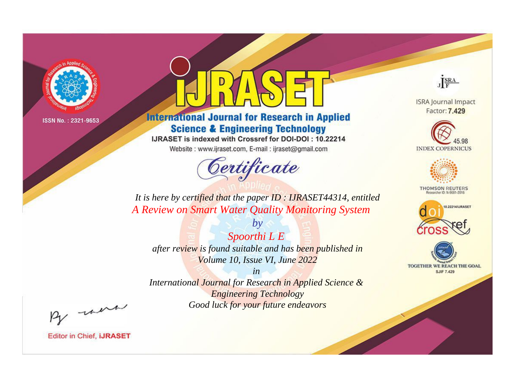

# **International Journal for Research in Applied Science & Engineering Technology**

IJRASET is indexed with Crossref for DOI-DOI: 10.22214

Website: www.ijraset.com, E-mail: ijraset@gmail.com



JERA

**ISRA Journal Impact** Factor: 7.429





**THOMSON REUTERS** 



TOGETHER WE REACH THE GOAL **SJIF 7.429** 

*It is here by certified that the paper ID : IJRASET44314, entitled A Review on Smart Water Quality Monitoring System*

*Spoorthi L E after review is found suitable and has been published in Volume 10, Issue VI, June 2022*

*by*

*in* 

*International Journal for Research in Applied Science & Engineering Technology Good luck for your future endeavors*

By morn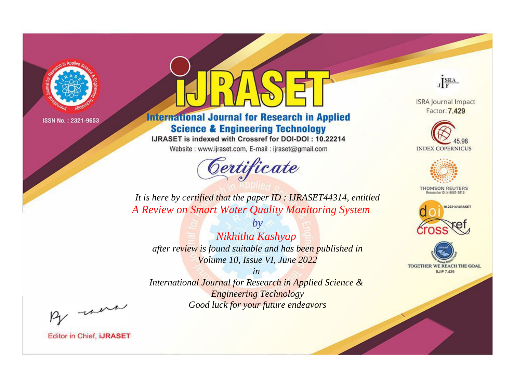

# **International Journal for Research in Applied Science & Engineering Technology**

IJRASET is indexed with Crossref for DOI-DOI: 10.22214

Website: www.ijraset.com, E-mail: ijraset@gmail.com



JERA

**ISRA Journal Impact** Factor: 7.429





**THOMSON REUTERS** 



TOGETHER WE REACH THE GOAL **SJIF 7.429** 

It is here by certified that the paper ID: IJRASET44314, entitled A Review on Smart Water Quality Monitoring System

Nikhitha Kashyap after review is found suitable and has been published in Volume 10, Issue VI, June 2022

 $b\nu$ 

 $in$ International Journal for Research in Applied Science & **Engineering Technology** Good luck for your future endeavors

By morn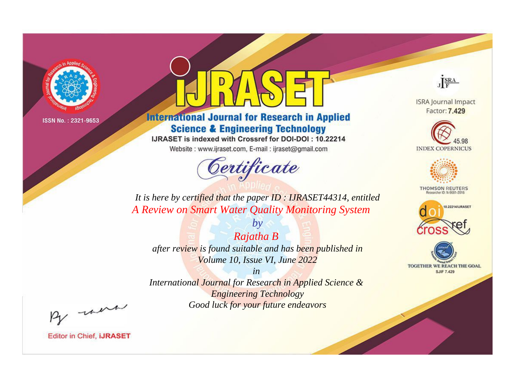

# **International Journal for Research in Applied Science & Engineering Technology**

IJRASET is indexed with Crossref for DOI-DOI: 10.22214

Website: www.ijraset.com, E-mail: ijraset@gmail.com



JERA

**ISRA Journal Impact** Factor: 7.429





**THOMSON REUTERS** 



TOGETHER WE REACH THE GOAL **SJIF 7.429** 

*It is here by certified that the paper ID : IJRASET44314, entitled A Review on Smart Water Quality Monitoring System*

*Rajatha B after review is found suitable and has been published in Volume 10, Issue VI, June 2022*

*by*

*in* 

*International Journal for Research in Applied Science & Engineering Technology Good luck for your future endeavors*

By morn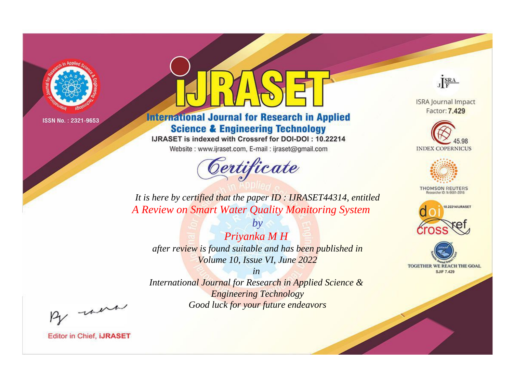

# **International Journal for Research in Applied Science & Engineering Technology**

IJRASET is indexed with Crossref for DOI-DOI: 10.22214

Website: www.ijraset.com, E-mail: ijraset@gmail.com



JERA

**ISRA Journal Impact** Factor: 7.429





**THOMSON REUTERS** 



TOGETHER WE REACH THE GOAL **SJIF 7.429** 

*It is here by certified that the paper ID : IJRASET44314, entitled A Review on Smart Water Quality Monitoring System*

*Priyanka M H after review is found suitable and has been published in Volume 10, Issue VI, June 2022*

*by*

*in* 

*International Journal for Research in Applied Science & Engineering Technology Good luck for your future endeavors*

By morn